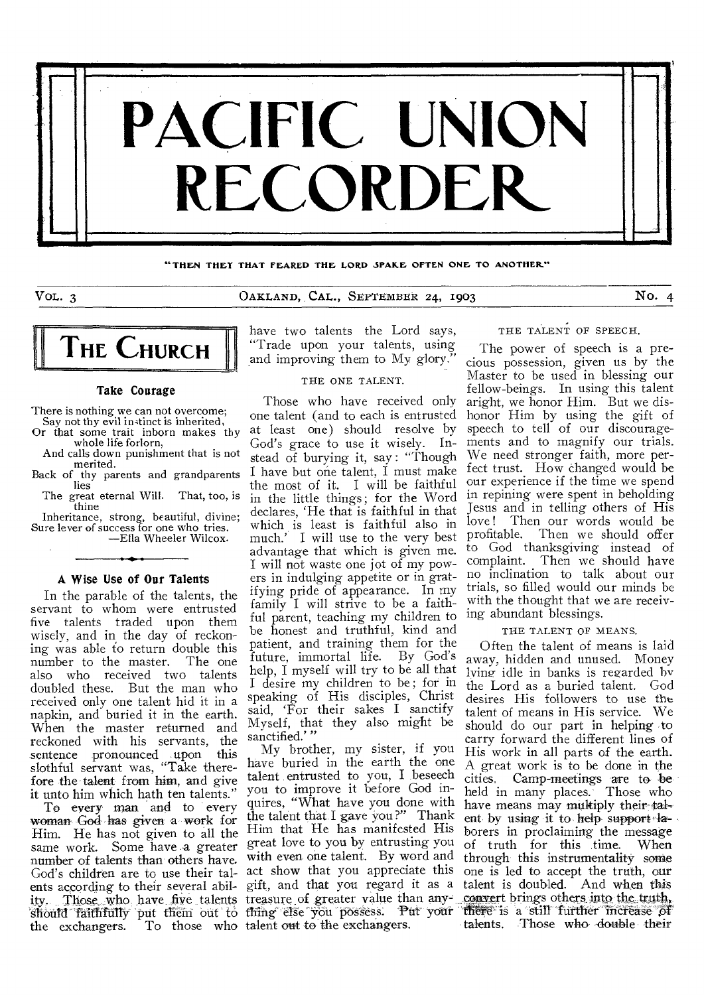

"THEN THEY THAT FEARED THE LORD SPAKE OFTEN ONE TO ANOTHER."

VOL. 3 OAKLAND, CAL., SEPTEMBER 24, 1903 No. 4



#### Take Courage

There is nothing we can not overcome; Say not thy evil instinct is inherited,

- Or that some trait inborn makes thy whole life forlorn,
- And calls down punishment that is not merited.
- Back of thy parents and grandparents lies
	- The great eternal Will. That, too, is thine

Inheritance, strong, beautiful, divine; Sure lever of success for one who tries. —Ella Wheeler Wilcox.

### A Wise Use of Our Talents

In the parable of the talents, the servant to whom were entrusted five talents traded upon them wisely, and in, the day of reckoning was able to return double this number to the master. The one also who received two talents doubled these. But the man who received only one talent hid it in a napkin, and buried it in the earth. When the master returned and reckoned with his servants, the sentence pronounced upon this slothful servant was, "Take therefore the talent from him, and give it unto him which hath ten talents."

To every man and to every woman God has given a work for Woman God has given a work for Him that He has manifested His<br>Him. He has not given to all the creat love to you by entrusting you same work. Some have a greater number of talents than others have. God's children are to use their tal-act show that you appreciate this ents according to their several abil-gift, and that you regard it as a ity. Those who have five talents treasure of greater value than any convert brings others into the truth, should faithfully put them out to thing else you possess. Put your there is a still further increase of the exchangers. To those who talent out to the exchangers.

have two talents the Lord says, "Trade upon your talents, using and improving them to My glory.

### THE ONE TALENT.

Those who have received only one talent (and to each is entrusted at least one) should resolve by God's grace to use it wisely. Instead of burying it, say : "Though I have but one talent, I must make the most of it. I will be faithful in the little things; for the Word declares, 'He that is faithful in that which is least is faithful also in much.' I will use to the very best advantage that which is given me. I will not waste one jot of my powers in indulging appetite or in gratifying pride of appearance. In my family I will strive to be a faithful parent, teaching my children to be honest and truthful, kind and patient, and training them for the future, immortal life. By God's help, I myself will try to be all that I desire my children to be; for in speaking of His disciples, Christ said, 'For their sakes I sanctify Myself, that they also might be sanctified.'"

My brother, my sister, if you have buried in the earth the one talent entrusted to you, I beseech you to improve it before God inquires, "What have you done with the talent that. I gave you?" Thank great love to you by entrusting you with even one talent. By word and THE TALENT OF SPEECH.

The power of speech is a precious possession, given us by the Master to be used in blessing our fellow-beings. In using this talent aright, we honor Him. But we dishonor Him by using the gift of speech to tell of our discouragements and to magnify our trials. We need stronger faith, more perfect trust. How changed would be our experience if the time we spend in repining were spent in beholding Jesus and in telling others of His love! Then our words would be<br>profitable. Then we should offer Then we should offer to God thanksgiving instead of complaint. Then we should have no inclination to talk about our trials, so filled would our minds be with the thought that we are receiving abundant blessings.

#### THE TALENT OF MEANS.

Often the talent of means is laid away, hidden and unused. Money lying idle in banks is regarded by the Lord as a buried talent. God desires His followers to use the talent of means in His service. We should do our part in helping to carry forward the different lines of His work in all parts of the earth. A great work is to be done in the cities. Camp-meetings are to be held in many places. Those who have means may multiply their talent by using it to help support  $4a$ borers in proclaiming the message of truth for this time. When through this instrumentality some one is led to accept the truth, our talent is doubled. And when this talents. Those who double their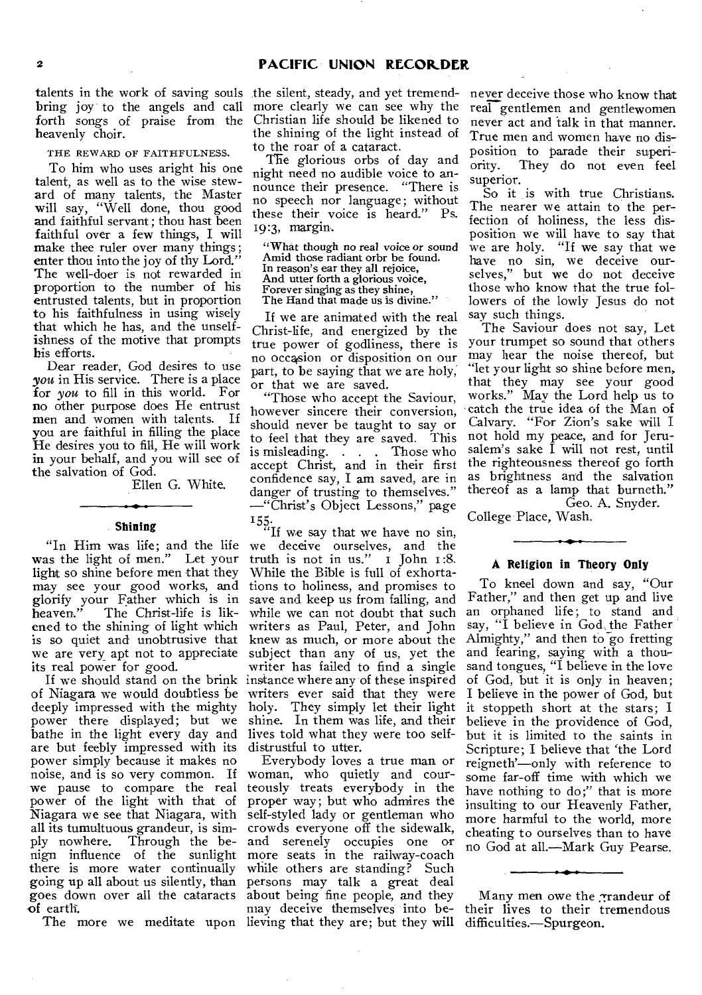talents in the work of saving souls the silent, steady, and yet tremendbring joy to the angels and call forth songs of praise from the heavenly choir.

THE REWARD OF FAITHFULNESS.

To him who uses aright his one talent, as well as to the wise steward of many talents, the Master will say, "Well done, thou good and faithful servant; thou hast been faithful over a few things, I will make thee ruler over many things; enter thou into the joy of thy Lord." The well-doer is not rewarded in proportion to the number of his entrusted talents, but in proportion to his faithfulness in using wisely that which he has, and the unselfishness of the motive that prompts his efforts.

Dear reader, God desires to use you in His service. There is a place for *you* to fill in this world. For no other purpose does He entrust men and women with talents. If you are faithful in filling the place He desires you to fill, He will work in your behalf, and you will see of the salvation of God.

Ellen G. White.

#### **Shining**

"In Him was life; and the life was the light of men." Let your light so shine before men that they may see your good works, and glorify your Father which is in The Christ-life is likened to the shining of light which is so quiet and unobtrusive that we are very apt not to appreciate its real power for good.

of Niagara we would doubtless be deeply impressed with the mighty power there displayed; but we bathe in the light every day and are but feebly impressed with its power simply because it makes no noise, and is so very common. If we pause to compare the real power of the light with that of Niagara we see that Niagara, with all its tumultuous grandeur, is simply nowhere. Through the be-Through the benign influence of the sunlight there is more water continually going up all about us silently, than goes down over all the cataracts of earth.

more clearly we can see why the Christian life should be likened to the shining of the light instead of to the roar of a cataract.

The glorious orbs of day and night need no audible voice to announce their presence. "There is no speech nor language; without these their voice is heard." Ps. 19:3, margin.

"What though no real voice or sound Amid those radiant orbr be found. In reason's ear they all rejoice, And utter forth a glorious voice, Forever singing as they shine, The Hand that made us is divine."

If we are animated with the real Christ-life, and energized by the true power of godliness, there is no occacsion or disposition on our part, to be saying that we are holy, or that we are saved.

"Those who accept the Saviour, however sincere their conversion, should never be taught to say or to feel that they are saved. This is misleading. . . . Those who accept Christ, and in their first confidence say, I am saved, are in danger of trusting to themselves.' —"Christ's Object Lessons," page

If we should stand on the brink instance where any of these inspired 155.<br>"If we say that we have no sin, we deceive ourselves, and the we deceive ourselves, and the truth is not in us." I John 1:8. While the Bible is full of exhortations to holiness, and promises to save and keep us from falling, and while we can not doubt that such writers as Paul, Peter, and John knew as much, or more about the subject than any of us, yet the writer has failed to find a single writers ever said that they were holy. They simply let their light shine. In them was life, and their lives told what they were too selfdistrustful to utter.

The more we meditate upon lieving that they are; but they will difficulties.—Spurgeon. Everybody loves a true man or woman, who quietly and courteously treats everybody in the proper way; but who admires the self-styled lady or gentleman who crowds everyone off the sidewalk, and serenely occupies one or more seats in the railway-coach while others are standing? Such persons may talk a great deal about being fine people, and they may deceive themselves into be-

never deceive those who know that real gentlemen and gentlewomen never act and talk in that manner. True men and women have no disposition to parade their superiority. They do not even feel superior.

So it is with true Christians. The nearer we attain to the perfection of holiness, the less disposition we will have to say that we are holy. "If we say that we have no sin, we deceive ourselves," but we do not deceive those who know that the true followers of the lowly Jesus do not say such things.

The Saviour does not say, Let your trumpet so sound that others may hear the noise thereof, but "let your light so shine before men, that they may see your good works." May the Lord help us to catch the true idea of the Man of Calvary. "For Zion's sake will I not hold my peace, and for Jerusalem's sake I will not rest, until the righteousness thereof go forth as brightness and the salvation thereof as a lamp that burneth." Geo. A. Snyder.

College Place, Wash.

#### **A Religion in Theory Only**

To kneel down and say, "Our Father," and then get up and live an orphaned life; to stand and say, "I believe in God, the Father Almighty," and then to go fretting and fearing, saying with a thousand tongues, "I believe in the love of God, but it is only in heaven; I believe in the power of God, but it stoppeth short at the stars; I believe in the providence of God, but it is limited to the saints in Scripture; I believe that 'the Lord reigneth'—only with reference to some far-off time with which we have nothing to do;" that is more insulting to our Heavenly Father, more harmful to the world, more cheating to ourselves than to have no God at all.—Mark Guy Pearse.

Many men owe the grandeur of their lives to their tremendous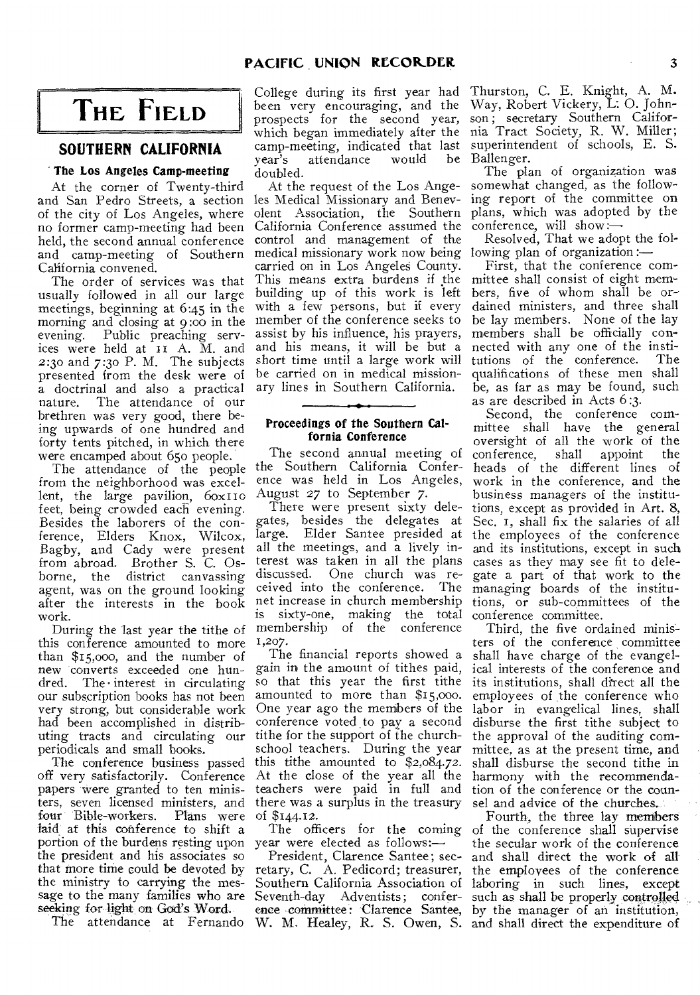# **THE FIELD**

### **SOUTHERN CALIFORNIA**

### **The Los Angeles Camp-meeting**

At the corner of Twenty-third and San Pedro Streets, a section of the city of Los Angeles, where no former camp-meeting had been held, the second annual conference and camp-meeting of Southern California convened.

The order of services was that usually followed in all our large meetings, beginning at 6:45 in the morning and closing at 9:00 in the member of the conference seeks to evening. Public preaching services were held at II A. M. and 2:30 and 7:30 P. M. The subjects presented from the desk were of a doctrinal and also a practical<br>nature. The attendance of our The attendance of our brethren was very good, there being upwards of one hundred and forty tents pitched, in which there were encamped about 65o people.

The attendance of the people from the neighborhood was excellent, the large pavilion,  $60x110$ feet, being crowded each evening. Besides the laborers of the conference, Elders Knox, Wilcox, Bagby, and Cady were present from abroad. Brother S. C. Osborne, the district canvassing agent, was on the ground looking after the interests in the book net increase in church membership work.

this conference amounted to more than \$15,000, and the number of new converts exceeded one hun $d$ red. The interest in circulating our subscription books has not been very strong, but considerable work had been accomplished in distributing tracts and circulating our periodicals and small books.

The conference business passed off very satisfactorily. Conference papers were granted to ten ministers, seven licensed ministers, and four Bible-workers. laid at this conference to shift a portion of the burdens resting upon year were elected as follows: the president and his associates so that more time could be devoted by the ministry to carrying the message to the many families who are Seventh-day Adventists; conferseeking for light on God's Word. Plans were of \$144.12.

College during its first year had been very encouraging, and the prospects for the second year, which began immediately after the camp-meeting, indicated that last year's attendance would be doubled.

At the request of the Los Angeles Medical Missionary and Benevolent Association, the Southern California Conference assumed the control and management of the medical missionary work now being lowing plan of organization :carried on in Los Angeles County. This means extra burdens if the mittee shall consist of eight membuilding up of this work is left with a few persons, but if every assist by his influence, his prayers, and his means, it will be but a short time until a large work will be carried on in medical missionary lines in Southern California.

### **Proceedings of the Southern Calfornia Conference**

The second annual meeting of the Southern California Conference was held in Los Angeles, August 27 to September 7.

During the last year the tithe of membership of the conference There were present sixty delegates, besides the delegates at Elder Santee presided at all the meetings, and a lively interest was taken in all the plans One church was received into the conference. The is sixty-one, making the total conference committee. 1,207.

> The financial reports showed a gain in the amount of tithes paid, so that this year the first tithe amounted to more than \$15,000. One year ago the members of the conference voted to pay a second tithe for the support of the churchschool teachers. During the year this tithe amounted to  $$2,084.72$ . At the close of the year all the teachers were paid in full and there was a surplus in the treasury

President, Clarence Santee; secretary, C. A. Pedicord; treasurer, Southern California Association of

Thurston, C. E. Knight, A. M. Way, Robert Vickery, L: 0. Johnson; secretary Southern California Tract Society, R. W. Miller; superintendent of schools, E. S. Ballenger.

The plan of organization was somewhat changed, as the following report of the committee on plans, which was adopted by the conference, will show:—

Resolved, That we adopt the fol-

First, that the conference combers, five of whom shall be ordained ministers, and three shall be lay members. None of the lay members shall be officially connected with any one of the insti-<br>tutions of the conference. The tutions of the conference. qualifications of these men shall be, as far as may be found, such as are described in Acts 6:3.

Second, the conference committee shall have the general oversight of all the work of the<br>conference, shall appoint the conference, heads of the different lines of work in the conference, and the business managers of the institutions, except as provided in Art. 8, Sec. 1, shall fix the salaries of all the employees of the conference and its institutions, except in such cases as they may see fit to delegate a part of that work to the managing boards of the institutions, or sub-committees of the

Third, the five ordained ministers of the conference committee shall have charge of the evangelical interests of the conference and its institutions, shall direct all the employees of the conference who labor in evangelical lines, shall disburse the first tithe subject to the approval of the auditing committee, as at the present time, and shall disburse the second tithe in harmony with the recommendation of the conference or the counsel and advice of the churches.

The attendance at Fernando W. M. Healey, R. S. Owen, S. and shall direct the expenditure of The officers for the coming of the conference shall supervise ence committee: Clarence Santee, by the manager of an institution, Fourth, the three lay members the secular work of the conference and shall direct the work of all the employees of the conference laboring in such lines, except such as shall be properly controlled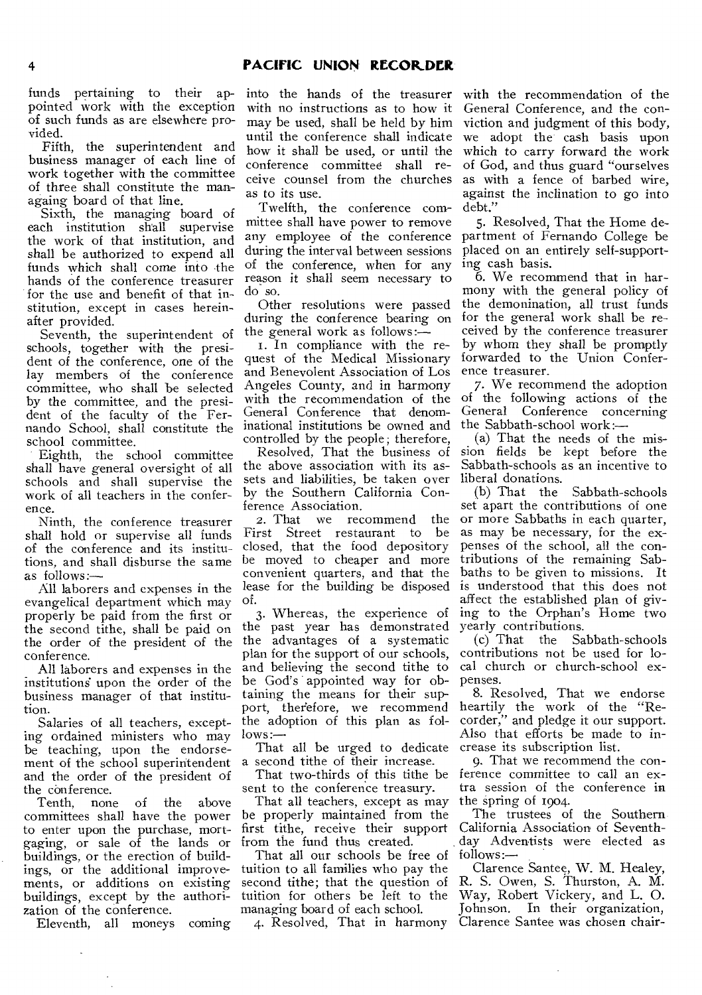### 4 **PACIFIC UNION RECORDER**

funds pertaining to their appointed work with the exception of such funds as are elsewhere provided.

Fifth, the superintendent and business manager of each line of work together with the committee of three shall constitute the managaing board of that line.

Sixth, the managing board of each institution shall supervise the work of that institution, and shall be authorized to expend all funds which shall come into the hands of the conference treasurer for the use and benefit of that institution, except in cases hereinafter provided.

Seventh, the superintendent of schools, together with the president of the conference, one of the lay members of the conference committee, who shall be selected by the committee, and the president of the faculty of the Fernando School, shall constitute the school committee.

Eighth, the school committee shall have general oversight of all schools and shall supervise the work of all teachers in the conference.

Ninth, the conference treasurer shall hold or supervise all funds of the conference and its institutions, and shall disburse the same as follows:—

All laborers and expenses in the evangelical department which may properly be paid from the first or the second tithe, shall be paid on the order of the president of the conference.

All laborers and expenses in the institutions upon the order of the business manager of that institution.

Salaries of all teachers, excepting ordained ministers who may be teaching, upon the endorsement of the school superintendent and the order of the president of

the conference.<br>Tenth, none Tenth, none of the above committees shall have the power to enter upon the purchase, mortgaging, or sale of the lands or buildings, or the erection of buildings, or the additional improvements, or additions on existing buildings, except by the authorization of the conference.

Eleventh, all moneys coming

with no instructions as to how it may be used, shall be held by him until the conference shall indicate how it shall be used, or until the conference committee shall receive counsel from the churches as to its use.

Twelfth, the conference committee shall have power to remove any employee of the conference during the interval between sessions of the conference, when for any reason it shall seem necessary to do so.

Other resolutions were passed during the conference bearing on the general work as follows:—

i. In compliance with the request of the Medical Missionary and Benevolent Association of Los Angeles County, and in harmony with the recommendation of the General Conference that denominational institutions be owned and controlled by the people; therefore,

Resolved, That the business of the above association with its assets and liabilities, be taken over by the Southern California Conference Association.<br>2. That we rec

we recommend the First Street restaurant to be closed, that the food depository be moved to cheaper and more convenient quarters, and that the lease for the building be disposed of.

3. Whereas, the experience of the past year has demonstrated the advantages of a systematic plan for the support of our schools, and believing the second tithe to be God's appointed way for obtaining the means for their support, therefore, we recommend the adoption of this plan as fol $lows -$ 

That all be urged to dedicate a second tithe of their increase.

That two-thirds of this tithe be sent to the conference treasury.

That all teachers, except as may be properly maintained from the first tithe, receive their support from the fund thus created.

That all our schools be free of tuition to all families who pay the second tithe; that the question of tuition for others be left to the managing board of each school.

into the hands of the treasurer with the recommendation of the General Conference, and the conviction and judgment of this body, we adopt the cash basis upon which to carry forward the work of God, and thus guard "ourselves as with a fence of barbed wire, against the inclination to go into debt."

> 5. Resolved, That the Home department of Fernando College be placed on an entirely self-supporting cash basis.

> b. We recommend that in harmony with the general policy of the demonination, all trust funds for the general work shall be received by the conference treasurer by whom they shall be promptly forwarded to the Union Conference treasurer.

> 7. We recommend the adoption of the following actions of the General Conference concerning the Sabbath-school work:—

> (a) That the needs of the mission fields be kept before the Sabbath-schools as an incentive to liberal donations.

> (b) That the Sabbath-schools set apart the contributions of one or more Sabbaths in each quarter, as may be necessary, for the expenses of the school, all the contributions of the remaining Sabbaths to be given to missions. It is understood that this does not affect the established plan of giving to the Orphan's Home two yearly contributions.

> (c) That the Sabbath-schools contributions not be used for local church or church-school expenses.

> 8. Resolved, That we endorse heartily the work of the "Recorder," and pledge it our support. Also that efforts be made to increase its subscription list.

> 9. That we recommend the conference committee to call an extra session of the conference in the spring of 1904.

> The trustees of the Southern California Association of Seventhday Adventists were elected as follows :—

4. Resolved, That in harmony Clarence Santee was chosen chair- Clarence Santee, W. M. Healey, R. S. Owen, S. Thurston, A. M. Way, Robert Vickery, and L. 0. Johnson. In their organization,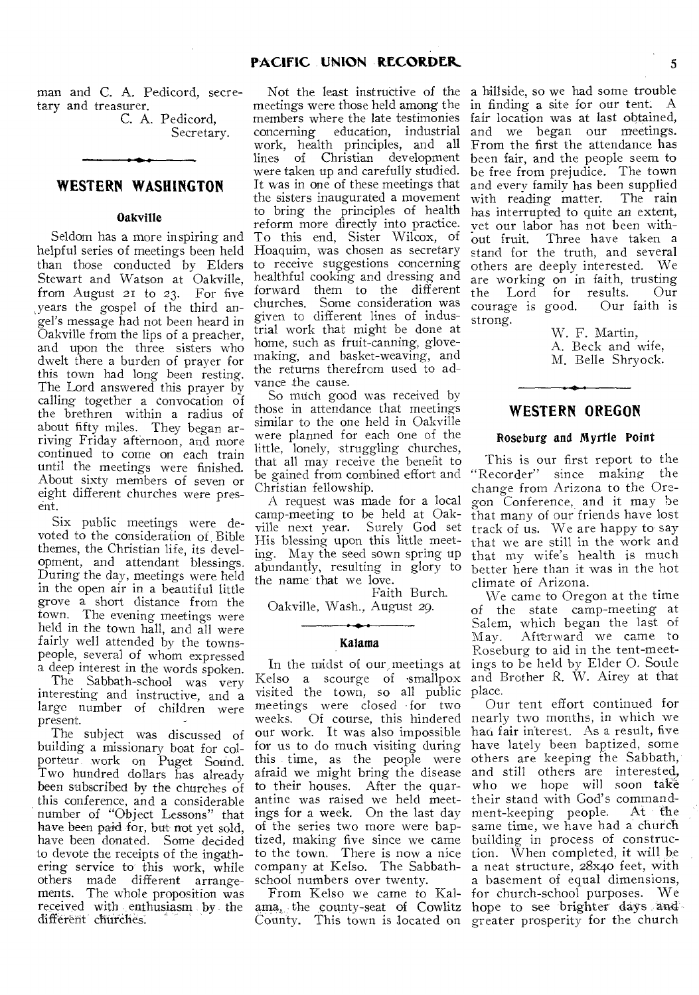man and C. A. Pedicord, secretary and treasurer.

C. A. Pedicord, Secretary.

### **WESTERN WASHINGTON**

### Oakville

Seldom has a more inspiring and helpful series of meetings been held than those conducted by Elders Stewart and Watson at Oakville, from August 21 to 23. For five ,years the gospel of the third angel's message had not been heard in Oakville from the lips of a preacher, and upon the three sisters who dwelt there a burden of prayer for this town had long been resting. The Lord answered this prayer by calling together a convocation of the brethren within a radius of about fifty miles. They began arriving Friday afternoon, and more continued to come on each train until the meetings were finished. About sixty members of seven or eight different churches were present.

Six public meetings were devoted to the consideration of Bible themes, the Christian life, its development, and attendant blessings. During the day, meetings were held in the open air in a beautiful little grove a short distance from the town. The evening meetings were held in the town hall, and all were fairly well attended by the townspeople, several of whom expressed a deep interest in the words spoken.

The Sabbath-school was very interesting and instructive, and a large number of children were present.

The subject was discussed of building a missionary boat for colporteur work on Puget Sound. Two hundred dollars has already been subscribed by the churches of this conference, and a considerable number of "Object Lessons" that have been paid for, but not yet sold, have been donated. Some decided to devote the receipts of the ingathering service to this work, while others made different arrangements. The whole proposition was received with enthusiasm by the different churches.

meetings were those held among the members where the late testimonies concerning education, industrial work, health principles, and all lines of Christian development were taken up and carefully studied. It was in one of these meetings that the sisters inaugurated a movement to bring the principles of health reform more directly into practice. To this end, Sister Wilcox, of Hoaquim, was chosen as secretary to receive suggestions concerning healthful cooking and dressing and forward them to the different churches. Some consideration was given to different lines of industrial work that might be done at home, such as fruit-canning, glovemaking, and basket-weaving, and the returns therefrom used to advance the cause.

So much good was received by those in attendance that meetings similar to the one held in Oakville were planned for each one of the little, lonely, struggling churches, that all may receive the benefit to be gained from combined effort and Christian fellowship.

A request was made for a local camp-meeting to be held at Oakville next year. Surely God set His blessing upon this little meeting. May the seed sown spring up abundantly, resulting in glory to the name that we love.

Faith Burch. Oakville, Wash., August 29.

#### Kalama

In the midst of our, meetings at visited the town, so all public place. meetings were closed for two<br>weeks. Of course, this hindered afraid we might bring the disease to their houses. After the quarantine was raised we held meetof the series two more were bapschool numbers over twenty.

County. This town is located on greater prosperity for the church

Not the least instructive of the a hillside, so we had some trouble in finding a site for our tent: A fair location was at last obtained, and we began our meetings. From the first the attendance has been fair, and the people seem to be free from prejudice. The town and every family has been supplied with reading matter. The rain has interrupted to quite an extent, vet our labor has not been without fruit. Three have taken a stand for the truth, and several others are deeply interested. We are working on in faith, trusting<br>the Lord for results. Our Lord for results. Our<br>age is good. Our faith is courage is good. strong.

> W. F. Martin, A. Beck and wife, M. Belle Shryock.

### **WESTERN OREGON**

#### Roseburg and Myrtle Point

This is our first report to the "Recorder" since making the change from Arizona to the Oregon Conference, and it may be that many of our friends have lost track of us. We are happy to say that we are still in the work and that my wife's health is much better here than it was in the hot climate of Arizona.

Kelso a scourge of •smallpox and Brother R. W. Airey at that We came to Oregon at the time of the state camp-meeting at Salem, which began the last of May. Afterward we came to Roseburg to aid in the tent-meetings to be held by Elder 0. Soule

weeks. Of course, this hindered nearly two months, in which we our work. It was also impossible had fair interest. As a result, five for us to do much visiting during have lately been baptized, some this time, as the people were others are keeping the Sabbath, ings for a week. On the last day ment-keeping people. At the tized, making five since we came building in process of constructo the town. There is now a nice tion. When completed, it will he company at Kelso. The Sabbath-a neat structure, 28xqo feet, with From Kelso we came to Kal-for church-school purposes. We ama, the county-seat of Cowlitz hope to see brighter days and Our tent effort continued for and still others are interested, who we hope will soon take their stand with God's command-<br>ment-keeping people. At the same time, we have had a church a basement of equal dimensions,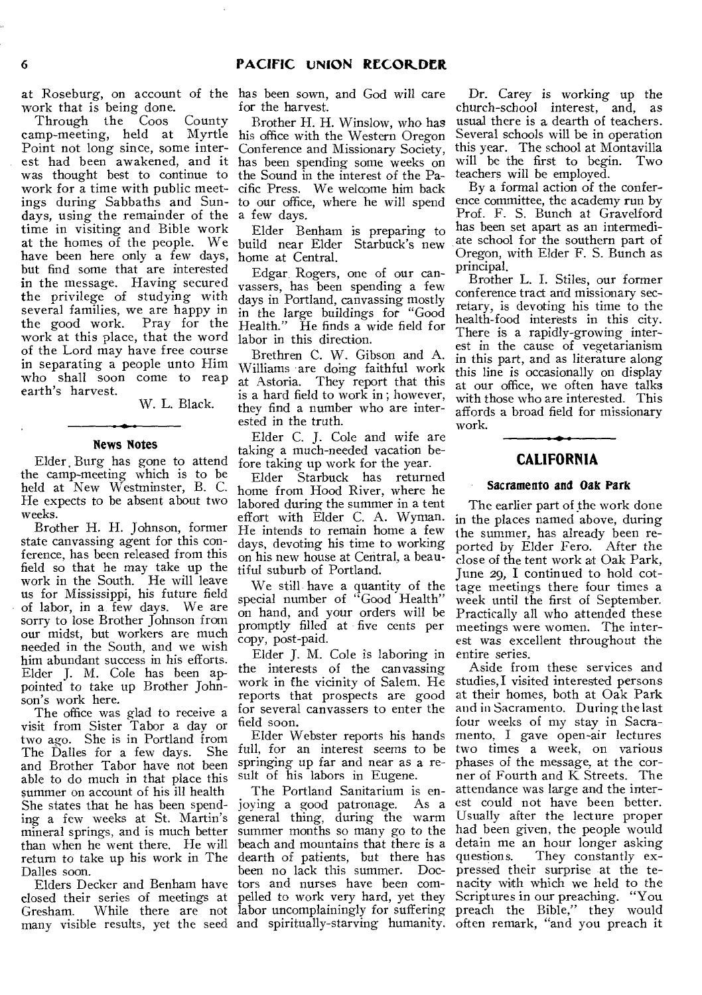work that is being done.

Through the Coos County camp-meeting, held at Myrtle his office with the Western Oregon Point not long since, some interest had been awakened, and it has been spending some weeks on was thought best to continue to the Sound in the interest of the Pawork for a time with public meet-cific Press. We welcome him back ings during Sabbaths and Sun-to our office, where he will spend days, using the remainder of the a few days. time in visiting and Bible work at the homes of the people. We build near Elder Starbuck's new have been here only a few days, but find some that are interested in the message. Having secured the privilege of studying with several families, we are happy in the good work. Pray for the work at this place, that the word of the Lord may have free course in separating a people unto Him who shall soon come to reap earth's harvest.

W. L. Black.

#### **News Notes**

Elder Burg has gone to attend the camp-meeting which is to be held at New Westminster, B. C. He expects to be absent about two weeks.

Brother H. H. Johnson, former state canvassing agent for this conference, has been released from this field so that he may take up the work in the South. He will leave us for Mississippi, his future field of labor, in a, few days. We are sorry to lose Brother Johnson from our midst, but workers are much needed in the South, and we wish him abundant success in his efforts. Elder J. M. Cole has been appointed to take up Brother Johnson's work here.

The office was glad to receive a visit from Sister Tabor a day or two ago. She is in Portland from The Dalles for a few days. and Brother Tabor have not been able to do much in that place this summer on account of his ill health She states that he has been spending a few weeks at St. Martin's mineral springs, and is much better than when he went there. He will return to take up his work in The dearth of patients, but there has Dalles soon.

closed their series of meetings at<br>Gresham. While there are not many visible results, yet the seed and spiritually-starving humanity. often remark, "and you preach it

at Roseburg, on account of the has been sown, and God will care for the harvest.

> Brother H. H. Winslow, who has Conference and Missionary Society,

Elder Benham is preparing to home at Central.

Edgar. Rogers, one of our canvassers, has been spending a few days in Portland, canvassing mostly in the large buildings for "Good Health." He finds a wide field for labor in this direction.

Brethren C. W. Gibson and A. Williams are doing faithful work at Astoria. They report that this is a hard field to work in ; however, they find a number who are interested in the truth.

Elder C. J. Cole and wife are taking a much-needed vacation before taking up work for the year.

Elder Starbuck has returned home from Hood River, where he labored during the summer in a tent effort with Elder C. A. Wyman. He intends to remain home a few days, devoting his time to working on his new house at Central, a beautiful suburb of Portland.

We still have a quantity of the special number of "Good Health" on hand, and your orders will be promptly filled at five cents per copy, post-paid.

Elder J. M. Cole *is* laboring in the interests of the canvassing work in fhe vicinity of Salem. He reports that prospects are good for several canvassers to enter the field soon.

Elder Webster reports his hands full, for an interest *seems* to be springing up far and near as a result of his labors in Eugene.

Elders Decker and Benham have tors and nurses have been com-Gresham. While there are not labor uncomplainingly for suffering preach the Bible," they would The Portland Sanitarium is enjoying a good patronage. As a general thing, during the warm summer months so many go to the beach and mountains that there is a been no lack this summer. Docpelled to work very hard, yet they

Dr. Carey is working up the church-school interest, and, as usual there is a dearth of teachers. Several schools will be in operation this year. The school at Montavilla will be the first to begin. Two teachers will be employed.

By a formal action of the conference committee, the academy run by Prof. F. S. Bunch at Gravelford has been set apart as an intermediate school for the southern part of Oregon, with Elder F. S. Bunch as principal.

Brother L. I. Stiles, our former conference tract and missionary secretary, is devoting his time to the health-food interests in this city. There is a rapidly-growing interest in the cause of vegetarianism in this part, and as literature along this line is occasionally on display at our office, we often have talks with those who are interested. This affords a broad field for missionary work.

## **CALIFORNIA**

### **Sacramento and Oak Park**

The earlier part of the work done in the places named above, during the summer, has already been reported by Elder Fero. After the close of the tent work at Oak Park, June 29, I continued to hold cottage meetings there four times a week until the first of September. Practically all who attended these meetings were women. The interest was excellent throughout the entire series.

Aside from these services and studies, I visited interested persons at their homes, both at Oak Park and in Sacramento. During the last four weeks of my stay in Sacramento, I gave open-air lectures two times a week, on various phases of the message, at the corner of Fourth and K Streets. The attendance was large and the interest could not have been better. Usually after the lecture proper had been given, the people would detain me an hour longer asking<br>questions. They constantly ex-They constantly expressed their surprise at the tenacity with which we held to the Scriptures in our preaching. "You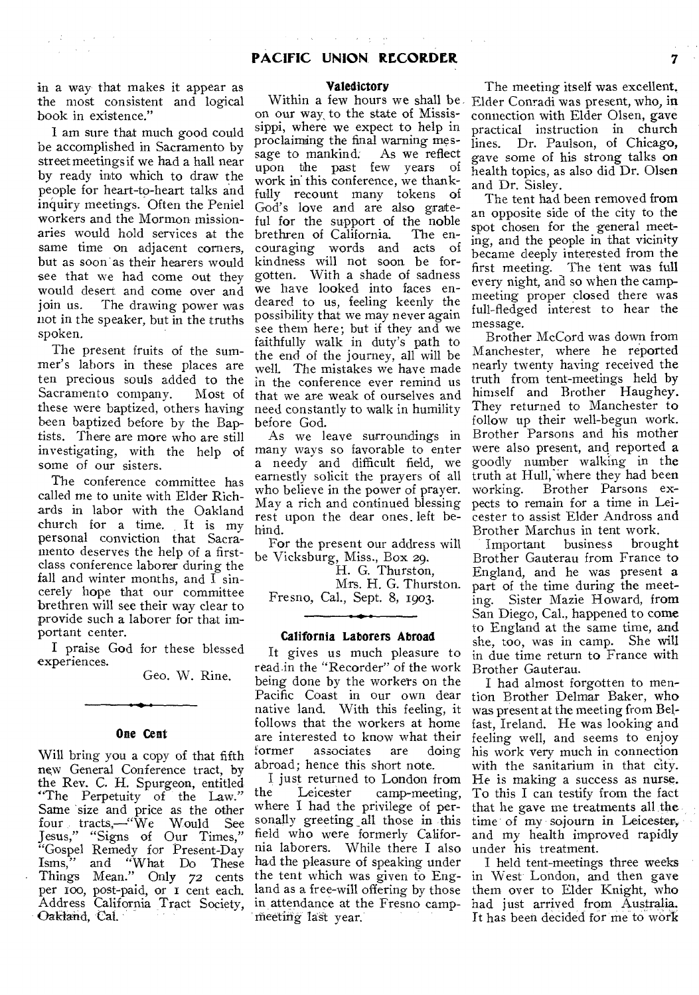$\sim$   $\sim$   $\sim$   $\sim$ 

 $\sim$ 

in a way that makes it appear as the most consistent and logical book in existence."

 $\sqrt{3}$  ,

 $\frac{1}{2}$  ,  $\frac{1}{2}$  ,  $\frac{1}{2}$  ,  $\frac{1}{2}$ 

 $\Delta \sim 0.002$ 

I am sure that much good could be accomplished in Sacramento by streetmeetingsif we had a hall near by ready into which to draw the people for heart-to-heart talks and inquiry meetings. Often the Peniel workers and the Mormon missionaries would hold services at the same time on adjacent corners, but as soon as their hearers would see that we had come out they would desert and come over and join us. The drawing power was not in the speaker, but in the truths spoken.

The present fruits of the summer's labors in these places are ten precious souls added to the Sacramento company. Most of these were baptized, others having been baptized before by the Baptists. There are more who are still investigating, with the help of some of our sisters.

The conference committee has called me to unite with Elder Richards in labor with the Oakland church for a time. It is my personal conviction that Sacramento deserves the help of a firstclass conference laborer during the fall and winter months, and  $\overline{I}$  sincerely hope that our committee brethren will see their way clear to provide such a laborer for that important center.

I praise God for these blessed experiences.

Geo. W. Rine.

#### **One Cent**

Will bring you a copy of that fifth new General Conference tract, by the Rev. C. H. Spurgeon, entitled "The Perpetuity of the Law." Same size and price as the other four tracts,—"We Would See Jesus," "Signs of Our Times," "Gospel Remedy for Present-Day<br>Isms," and "What Do These and "What Do These Things Mean." Only *72* cents per too, post-paid, or i cent each. Address California Tract Society, Oakland, Cal.

#### **Valedictory**

on our way, to the state of Mississippi, where we expect to help in proclaiming the final warning message to mankind. As we reflect upon the past few years of work in this conference, we thankfully recount many tokens of God's love and are also grateful for the support of the noble brethren of California. The encouraging words and acts of kindness will not soon be forgotten. With a shade of sadness we have looked into faces endeared to us, feeling keenly the possibility that we may never again see them here; but if they and we faithfully walk in duty's path to the end of the journey, all will be well. The mistakes we have made in the conference ever remind us that we are weak of ourselves and need constantly to walk in humility before God.

As we leave surroundings in many ways so favorable to enter a needy and difficult field, we earnestly solicit the prayers of all who believe in the power of prayer. May a rich and continued blessing rest upon the dear ones. left behind.

For the present our address will be Vicksburg, Miss., Box 29.

H. G. Thurston,

Mrs. H. G. Thurston. Fresno, Cal., Sept. 8, 1903.

#### **California Laborers Abroad**

It gives us much pleasure to readin the "Recorder" of the work being done by the workers on the Pacific Coast in our own dear native land. With this feeling, it follows that the workers at home are interested to know what their<br>former associates are doing associates abroad; hence this short note.

I just returned to London from<br>the Leicester camp-meeting. camp-meeting, where I had the privilege of personally greeting \_all those in this field who were formerly California laborers. While there I also had the pleasure of speaking under the tent which was given to England as a free-will offering by those in attendance at the Fresno campmeeting last year.

Within a few hours we shall be Elder Conradi was present, who, in The meeting itself was excellent. connection with Elder Olsen, gave practical instruction in church lines. Dr. Paulson, of Chicago, gave some of his strong talks on health topics, as also did Dr. Olsen and Dr. Sisley.

The tent had been removed from an opposite side of the city to the spot chosen for the general meeting, and the people in that vicinity became deeply interested from the first meeting. The tent was full every night, and so when the campmeeting proper closed there was full-fledged interest to hear the message.

Brother McCord was down from Manchester, where he reported nearly twenty having received the truth from tent-meetings held by himself and Brother Haughey. They returned to Manchester to follow up their well-begun work. Brother Parsons and his mother were also present, and reported a goodly number walking in the truth at Hull:where they had been working. Brother Parsons expects to remain for a time in Leicester to assist Elder Andross and

Brother Marchus in tent work.<br>Important business brought Important business Brother Gauterau from France to England, and he was present a part of the time during the meeting. Sister Mazie Howard, from San Diego, Cal., happened to come to England at the same time, and she, too, was in camp. She will in due time return to France with Brother Gauterau.

I had almost forgotten to mention Brother Delmar Baker, who was present at the meeting from Belfast, Ireland. He was looking and feeling well, and seems to enjoy his work very much in connection with the sanitarium in that city. He is making a success as nurse. To this I can testify from the fact that he gave me treatments all the time of my sojourn in Leicester, and my health improved rapidly under his treatment.

I held tent-meetings three weeks in West London, and then gave them over to Elder Knight, who had just arrived from Australia. It has been decided for me to work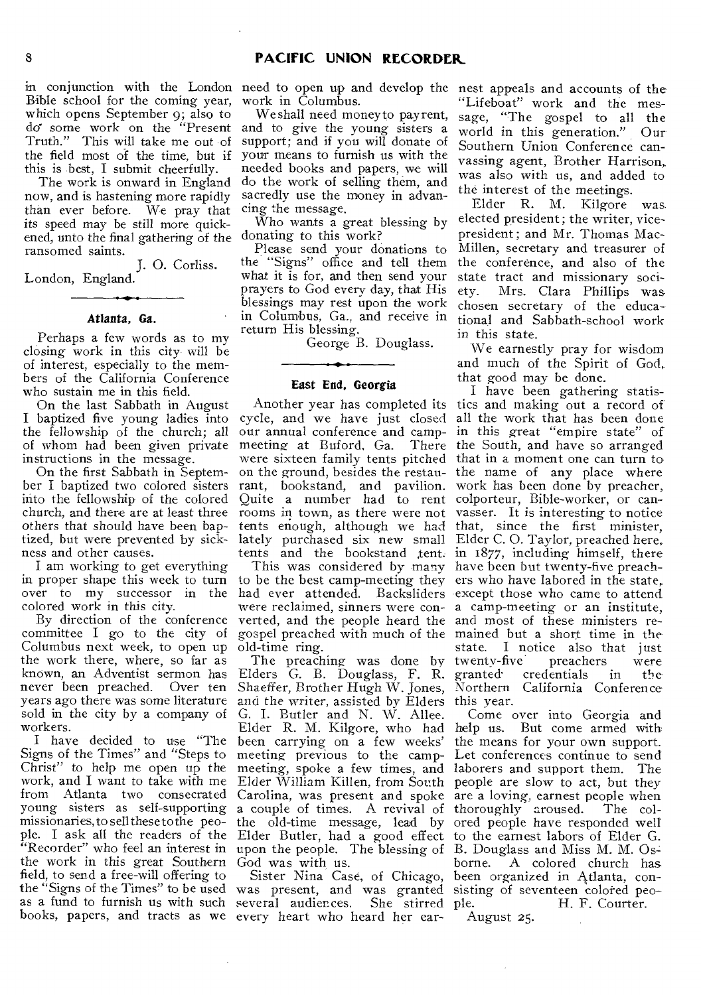in conjunction with the London need to open up and develop the nest appeals and accounts of the Bible school for the coming year, which opens September 9; also to do some work on the "Present Truth." This will take me out of the field most of the time, but if this is best, I submit cheerfully.

The work is onward in England now, and is hastening more rapidly than ever before. We pray that its speed may be still more quickened, unto the final gathering of the ransomed saints.

J. 0. Corliss. London, England.

#### **Atlanta, Ga.**

Perhaps a few words as to my closing work in this city will be of interest, especially to the members of the California Conference who sustain me in this field.

On the last Sabbath in August I baptized five young ladies into the fellowship of the church; all of whom had been given private instructions in the message.

On the first Sabbath in September I baptized two colored sisters into the fellowship of the colored ness and other causes.

I am working to get everything in proper shape this week to turn colored work in this city.

Columbus next week, to open up old-time ring. the work there, where, so far as known, an Adventist sermon has never been preached. Over ten sold in the city by a company of workers.

Signs of the Times" and "Steps to meeting previous to the campwork, and I want to take with me missionaries, to sell these to the people. I ask all the readers of the the work in this great Southern God was with us. field, to send a free-will offering to the "Signs of the Times" to be used was present, and was granted sisting of seventeen colored peoas a fund to furnish us with such several audiences. She stirred

work in Columbus.

We shall need money to pay rent, and to give the young sisters a support; and if you will donate of your means to furnish us with the needed books and papers, we will do the work of selling them, and sacredly use the money in advancing the message.

Who wants a great blessing by donating to this work?

Please send your donations to the "Signs" office and tell them what it is for, and then send your prayers to God every day, that His blessings may rest upon the work in Columbus, Ga., and receive in return His blessing.

George B. Douglass.

#### **East End, Georgia**

church, and there are at least three rooms in town, as there were not vasser. It is interesting to notice tized, but were prevented by sick-lately purchased six new small Elder C. 0. Taylor, preached here, rant, bookstand, and pavilion. Quite a number had to rent

By direction of the conference verted, and the people heard the and most of these ministers re-

years ago there was some literature and the writer, assisted by Elders this year. I have decided to use "The been carrying on a few weeks' Christ" to help me open up the meeting, spoke a few times, and laborers and support them. The from Atlanta two consecrated Carolina, was present and spoke young sisters as self-supporting a couple of times. A revival of thoroughly aroused. The col-"Recorder" who feel an interest in upon the people. The blessing of B. Douglass and Miss M. M. Os-Elders G. B. Douglass, F. R. Shaeffer, Brother Hugh W. Jones, G. I. Butler and N. W. Allee. Elder R. M. Kilgore, who had the old-time message, lead by Elder Butler, had a good effect

books, papers, and tracts as we every heart who heard her ear-

"Lifeboat" work and the message, "The gospel to all the world in this generation." Our Southern Union Conference canvassing agent, Brother Harrison, was also with us, and added to the interest of the meetings.

Elder R. M. Kilgore was elected president; the writer, vicepresident ; and Mr. Thomas Mac-Millen, secretary and treasurer of the conference, and also of the state tract and missionary society. Mrs. Clara Phillips was chosen secretary of the educational and Sabbath-school work in this state.

We earnestly pray for wisdom and much of the Spirit of God, that good may be done.

others that should have been bap-tents enough, although we had that, since the first minister, over to my successor in the had ever attended. Backsliders except those who came to attend committee I go to the city of gospel preached with much of the mained but a short time in the Another year has completed its tics and making out a record of cycle, and we have just closed all the work that has been done our annual conference and camp-in this great "empire state" of meeting at Buford, Ga. There the South, and have so arranged were sixteen family tents pitched that in a moment one can turn to on the ground, besides the restau- the name of any place where tents and the bookstand tent. in 1877, including himself, there This was considered by many have been but twenty-five preachto be the best camp-meeting they ers who have labored in the state, were reclaimed, sinners were con-a camp-meeting or an institute, The preaching was done by twenty-five preachers were I have been gathering statiswork has been done by preacher, colporteur, Bible-worker, or canstate. I notice also that just<br>twenty-five preachers were granted-credentials in the Northern California Conference

> Elder William Killen, from South people are slow to act, but they Sister Nina Case, of Chicago, been organized in Atlanta, con-Come over into Georgia and help us. But come armed with the means for your own support. Let conferences continue to send are a loving, earnest people when ored people have responded well to the earnest labors of Elder G. borne. A colored church has H. F. Courter.

August 25.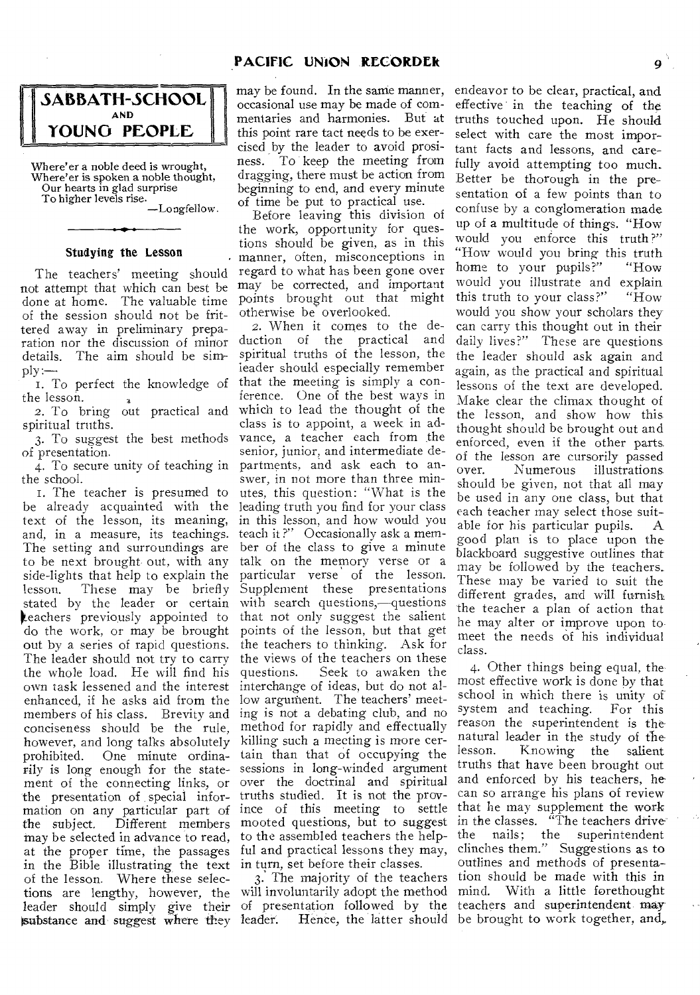## **PACIFIC UNION RECORDEk** 9



Where'er a noble deed is wrought, Where'er is spoken a noble thought, Our hearts in glad surprise To higher levels rise.

—Longfellow.

### Studying the Lesson

The teachers' meeting should not attempt that which can best be done at home. The valuable time of the session should not be frittered away in preliminary preparation nor the discussion of minor<br>details. The aim should be sim-<br>ply:—<br>I. To perfect the knowledge of details. The aim should be sim-

1. To perfect the knowledge of the lesson.

2. To bring out practical and spiritual truths.

3. To suggest the best methods of presentation.

4. To secure unity of teaching in the school.

I. The teacher is presumed to be already acquainted with the leading truth you find for your class text of the lesson, its meaning, in this lesson, and how would you and, in a measure, its teachings. teach it?" Occasionally ask a mem-The setting and surroundings are to be next brought out, with any side-lights that help to explain the lesson. These may be briefly stated by the leader or certain **keachers** previously appointed to do the work, or may be brought out by a series of rapid questions. the teachers to thinking. Ask for The leader should not try to carry the views of the teachers on these the whole load. He will find his own task lessened and the interest interchange of ideas, but do not alenhanced, if he asks aid from the low argument. The teachers' meetmembers of his class. Brevity and ing is not a debating club, and no conciseness should be the rule, method for rapidly and effectually however, and long talks absolutely killing such a meeting is more cerprohibited. One minute ordina-tain than that of occupying the rily is long enough for the state-sessions in long-winded argument ment of the connecting links, or the presentation of special information on any particular part of the subject. Different members mooted questions, but to suggest may be selected in advance to read, to the assembled teachers the helpat the proper time, the passages ful and practical lessons they may, in the Bible illustrating the text in turn, set before their classes. of the lesson. Where these selections are lengthy, however, the will involuntarily adopt the method mind. With a little forethought leader should simply give their of presentation followed by the teachers and superintendent may substance and suggest where they leader.

may be found. In the same manner, occasional use may be made of commentaries and harmonies. But at this point rare tact needs to be exercised by the leader to avoid prosiness. To keep the meeting from dragging, there must be action from beginning to end, and every minute of time be put to practical use.

Before leaving this division of the work, opportunity for questions should be given, as in this manner, often, misconceptions in regard to what has been gone over may be corrected, and important points brought out that might otherwise be overlooked.

2. When it comes to the deduction of the practical and spiritual truths of the lesson, the leader should especially remember that the meeting is simply a conference. One of the best ways in which to lead the thought of the class is to appoint, a week in advance, a teacher each from the senior, junior, and intermediate departments, and ask each to answer, in not more than three minutes, this question: "What is the ber of the class to give a minute talk on the memory verse or a particular verse of the lesson. Supplement these presentations with search questions,—questions that not only suggest the salient points of the lesson, but that get Seek to awaken the over the doctrinal and spiritual truths studied. It is not the province of this meeting to settle

leader. Hence, the latter should be brought to work together, and,

endeavor to be clear, practical, and effective in the teaching of the truths touched upon. He should select with care the most important facts and lessons, and carefully avoid attempting too much. Better be thorough in the presentation of a few points than to confuse by a conglomeration made up of a multitude of things. "How would you enforce this truth?" "How would you bring this truth<br>home to your pupils?" "How home to your pupils?" would you illustrate and explain<br>this truth to your class?" "How this truth to your class?" would you show your scholars they can carry this thought out in their daily lives?" These are questions the leader should ask again and again, as the practical and spiritual lessons of the text are developed. Make clear the climax thought of the lesson, and show how this thought should be brought out and enforced, even if the other parts of the lesson are cursorily passed over. Numerous illustrations should be given, not that all may be used in any one class, but that each teacher may select those suitable for his particular pupils. A good plan is to place upon the blackboard suggestive outlines that may be followed by the teachers.. These may be varied to suit the different grades, and will furnish the teacher a plan of action that he may alter or improve upon to meet the needs of his individual class.

3. The majority of the teachers tion should be made with this in 4. Other things being equal, the most effective work is done by that school in which there is unity of system and teaching. For this reason the superintendent is the natural leader in the study of the<br>lesson. Knowing the salient Knowing the salient truths that have been brought out and enforced by his teachers, he can so arrange his plans of review that he may supplement the work in the classes. "The teachers drive" the nails; the superintendent clinches them." Suggestions as to outlines and methods of presenta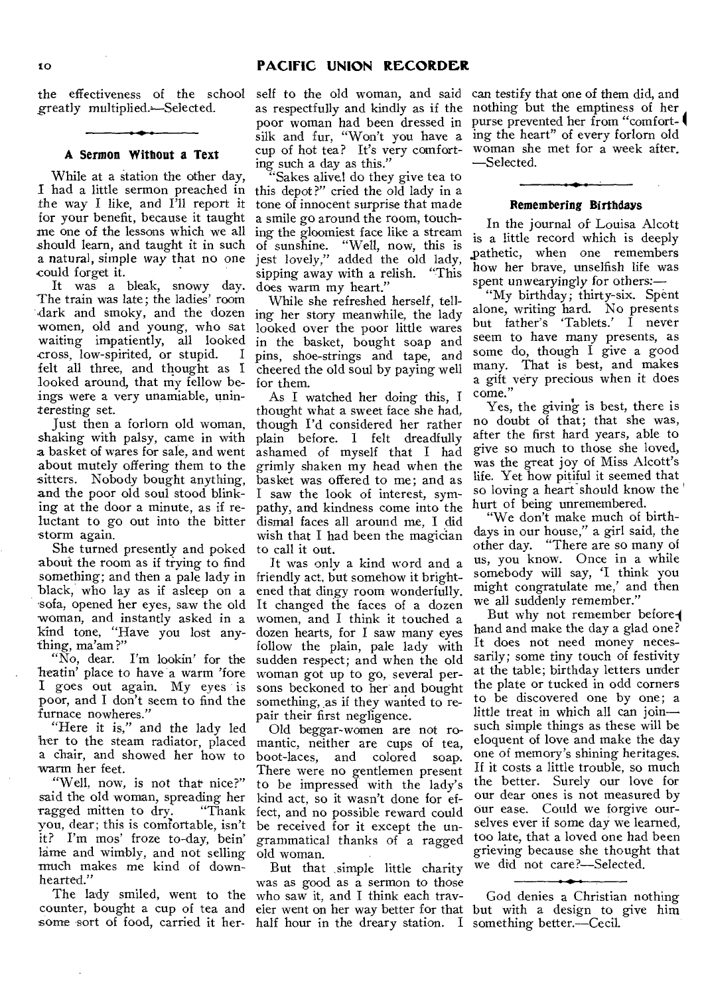greatly multiplied.-Selected.

#### **A Sermon Without a Text**

While at a station the other day, I had a little sermon preached in the way I like, and I'll report it for your benefit, because it taught me one of the lessons which we all should learn, and taught it in such a natural, simple way that no one could forget it.

It was a bleak, snowy day. The train was late; the ladies' room dark and smoky, and the dozen women, old and young, who sat waiting impatiently, all looked<br>cross low-spirited or stupid. I cross, low-spirited, or stupid. I felt all three, and thought as I looked around, that my fellow beings were a very unamiable, uninteresting set.

Just then a forlorn old woman, shaking with palsy, came in with a basket of wares for sale, and went about mutely offering them to the sitters. Nobody bought anything, and the poor old soul stood blinking at the door a minute, as if reluctant to go out into the bitter storm again.

She turned presently and poked to call it out. about the room as if trying to find something; and then a pale lady in black, who lay as if asleep on a sofa, opened her eyes, saw the old woman, and instantly asked in a kind tone, "Have you lost anything, ma'am ?"

"No, dear. I'm lookin' for the heatin' place to have a warm 'fore I goes out again. My eyes is poor, and I don't seem to find the furnace nowheres."

"Here it is," and the lady led her to the steam radiator, placed a chair, and showed her how to warm her feet.

"Well, now, is not that nice?" said the old woman, spreading her<br>ragged mitten to dry. "Thank ragged mitten to dry. you, dear; this is comfortable, isn't it? I'm mos' froze to-day, bein' lame and wimbly, and not selling much makes me kind of downhearted."

The lady smiled, went to the counter, bought a cup of tea and some sort of food, carried it her- half hour in the dreary station. I something better.--Cecil.

as respectfully and kindly as if the nothing but the emptiness of her silk and fur, "Won't you have a ing the heart" of every forlorn old cup of hot tea? It's very comfort-woman she met for a week after. ing such a day as this."

'Sakes alive! do they give tea to this depot ?" cried the old lady in a tone of innocent surprise that made a smile go around the room, touching the gloomiest face like a stream of sunshine. "Well, now, this is jest lovely," added the old lady, sipping away with a relish. "This does warm my heart."

While she refreshed herself, telling her story meanwhile, the lady looked over the poor little wares in the basket, bought soap and pins, shoe-strings and tape, and cheered the old soul by paying well for them.

As I watched her doing this, I thought what a sweet face she had, though I'd considered her rather plain before. I felt dreadfully ashamed of myself that I had grimly shaken my head when the basket was offered to me; and as I saw the look of interest, sympathy, and kindness come into the dismal faces all around me, I did wish that I had been the magician

It was only a kind word and a friendly act, but somehow it brightened that dingy room wonderfully. It changed the faces of a dozen women, and I think it touched a dozen hearts, for I saw many eyes follow the plain, pale lady with sudden respect; and when the old woman got up to go, several persons beckoned to her and bought something, as if they wanted to repair their first negligence.

Old beggar-women are not romantic, neither are cups of tea,<br>boot-laces, and colored soap. boot-laces, and colored There were no gentlemen present to be impressed with the lady's kind act, so it wasn't done for effect, and no possible reward could be received for it except the ungrammatical thanks of a ragged old woman.

But that simple little charity was as good as a sermon to those who saw it, and I think each traveler went on her way better for that but with a design to give him

the effectiveness of the school self to the old woman, and said can testify that *one* of them did, and poor woman had been dressed in purse prevented her from "comfort- I —Selected.

#### **Remembering Birthdays**

In the journal of Louisa Alcott is a little record which is deeply ,pathetic, when one remembers how her brave, unselfish life was spent un wearyingly for others:—

"My birthday; thirty-six. Spent alone, writing hard. No presents but father's 'Tablets.' I never seem to have many presents, as some do, though I give a good many. That is best, and makes a gift very precious when it does come."

Yes, the giving is best, there is no doubt of that; that she was, after the first hard years, able to give so much to those she loved, was the great joy of Miss Alcott's life. Yet how pitiful it seemed that so loving a heart should know the hurt of being unremembered.

"We don't make much of birthdays in our house," a girl said, the other day. "There are so many of us, you know. Once in a while somebody will say, 'I think you might congratulate me,' and then we all suddenly remember."

But why not remember beforehand and make the day a glad one? It does not need money necessarily; some tiny touch of festivity at the table; birthday letters under the plate or tucked in odd corners to be discovered one by one; a little treat in which all can join such simple things as these will be eloquent of love and make the day one of memory's shining heritages. If it costs a little trouble, so much the better. Surely our love for our dear ones is not measured by our ease. Could we forgive ourselves ever if some day we learned, too late, that a loved one had been grieving because she thought that we did not care?—Selected.

God denies a Christian nothing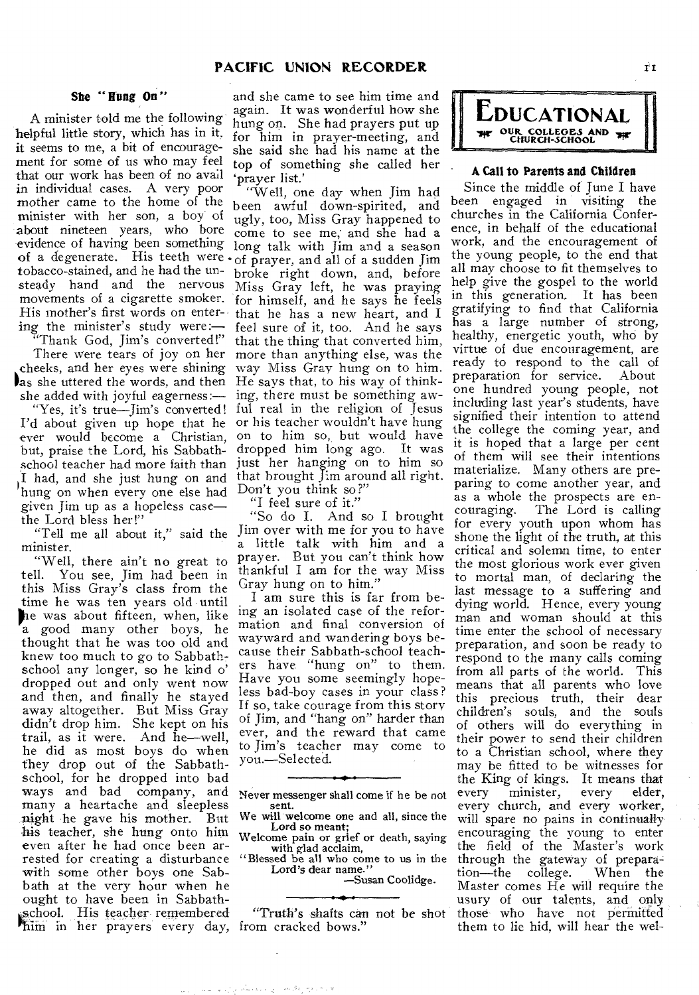### **She " Hung On "**

A minister told me the following helpful little story, which has in it. it seems to me, a bit of encouragement for some of us who may feel that our work has been of no avail in individual cases. A very poor mother came to the home of the minister with her son, a boy of about nineteen years, who bore evidence of having been something of a degenerate. His teeth were of prayer, and all of a sudden Jim tobacco-stained, and he had the unsteady hand and the nervous movements of a cigarette smoker. His mother's first words on entering the minister's study were:—

Thank God, Jim's converted!" There were tears of joy on her ,cheeks, and her eyes were shining as she uttered the words, and then He says that, to his way of thinkshe added with joyful eagerness:—

ever would become a Christian, but, praise the Lord, his Sabbathschool teacher had more faith than I had, and she just hung on and hung on when every one else had Don't you think so?" given Jim up as a hopeless case the Lord bless her!"

"Tell me all about it," said the minister.

"Well, there ain't no great to<br>tell. You see, Jim had been in You see, Jim had been in this Miss Gray's class from the time he was ten years old until he was about fifteen, when, like a good many other boys, he thought that he was too old and knew too much to go to Sabbathschool any longer, so he kind o' dropped out and only went now and then, and finally he stayed away altogether. But Miss Gray didn't drop him. She kept on his trail, as it were. And he—well, he did as most boys do when they drop out of the Sabbathschool, for he dropped into bad ways and bad company, and many a heartache and sleepless night he gave his mother. But his teacher, she hung onto him even after he had once been arrested for creating a disturbance with some other boys one Sabbath at the very hour when he ought to have been in Sabbathschool. His teacher remembered im in her prayers every day, from cracked bows."

and she came to see him time and again. It was wonderful how she hung on. She had prayers put up for him in prayer-meeting, and she said she had his name at the top of something she called her `prayer list.'

"Yes, it's true—Jim's converted! ful real in the religion of Jesus I'd about given up hope that he or his teacher wouldn't have hung "Well, one day when Jim had been awful down-spirited, and ugly, too, Miss Gray happened to come to see me; and she had a long talk with Jim and a season broke right down, and, before Miss Gray left, he was praying for himself, and he says he feels that he has a new heart, and I feel sure of it, too. And he says that the thing that converted him, more than anything else, was the way Miss Gray hung on to him. ing, there must be something awon to him so, but would have dropped him long ago. It was just her hanging on to him so that brought Jim around all right.

"I feel sure of it."

"So do I. And so I brought Jim over with me for you to have a little talk with him and a prayer. But you can't think how thankful I am for the way Miss Gray hung on to him."

I am sure this is far from being an isolated case of the reformation and final conversion of wayward and wandering boys because their Sabbath-school teachers have "hung on" to them. Have you some seemingly hopeless bad-boy cases in your class ? If so, take courage from this story of Jim, and "hang on" harder than ever, and the reward that came to Jim's teacher may come to you.—Selected.

Never messenger shall come if he be not sent.

We will welcome one and all, since the Lord so meant; Welcome pain or grief or death, saying

with glad acclaim,

"Blessed be all who come to us in the Lord's dear name."

—Susan Coolidge.

"Truth's shafts can not be shot



#### **• A Call to Parents and Children**

Since the middle of June I have been engaged in visiting the churches in the California Conference, in behalf of the educational work, and the encouragement of the young people, to the end that all may choose to fit themselves to help give the gospel to the world in this generation. It has been gratifying to find that California has a large number of strong, healthy, energetic youth, who by virtue of due encouragement, are ready to respond to the call of<br>preparation for service. About preparation for service. one hundred young people, not including last year's students, have signified their intention to attend the college the coming year, and it is hoped that a large per cent of them will see their intentions materialize. Many others are preparing to come another year, and as a whole the prospects are encouraging. The Lord is calling The Lord is calling. for every youth upon whom has shone the light of the truth, at this critical and solemn time, to enter the most glorious work ever given to mortal man, of declaring the last message to a suffering and dying world. Hence, every young man and woman should at this time enter the school of necessary preparation, and soon be ready to respond to the many calls coming from all parts of the world. This means that all parents who love this precious truth, their dear children's souls, and the souls of others will do everything in their power to send their children to a Christian school, where they may be fitted to be witnesses for the King of kings. It means that<br>every minister, every elder, every minister, every every church, and every worker, will spare no pains in continually encouraging the young to enter the field of the Master's work through the gateway of prepara-<br>tion—the college. When the tion—the college. Master comes He will require the usury of our talents, and only those who have not permitted them to lie hid, will hear the wel-

يتكرمه التي بالمتحسك للمراد سندار المتل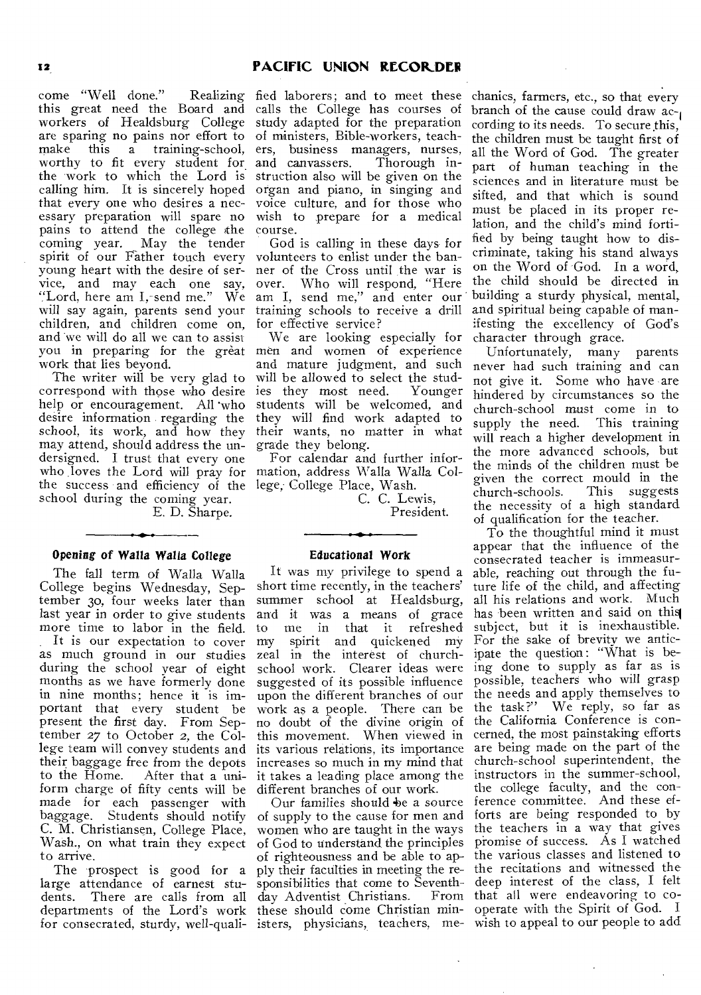come "Well done." this great need the Board and workers of Healdsburg College are sparing no pains nor effort to make this a training-school, ers, business managers, nurses, worthy to fit every student for. the work to which the Lord is calling him. It is sincerely hoped that every one who desires a necessary preparation will spare no pains to attend the college the coming year. May the tender spirit of our Father touch every young heart with the desire of ser-ner of the Cross until the war is vice, and may each one say, "Lord, here am I, send me." We will say again, parents send your children, and children come on, and we will do all we can to assist you in preparing for the great work that lies beyond.

The writer will be very glad to correspond with those who desire help or encouragement. All 'who desire information regarding the school, its work, and how they may attend, should address the undersigned. I trust that every one who loves the Lord will pray for mation, address Walla Walla Colthe success and efficiency of the lege, College Place, Wash. school during the coming year. E. D. Sharpe.

### **Opening of Walla Walla College**

The fall term of Walla Walla College begins Wednesday, September 30, four weeks later than last year in order to give students more time to labor in the field.

It is our expectation to cover as much ground in our studies during the school year of eight months as we have formerly done in nine months; hence it is important that every student be present the first day. From September 27 to October **2,** the College team will convey students and their baggage free from the depots to the Home. After that a uniform charge of fifty cents will be made for each passenger with baggage. Students should notify C. M. Christiansen, College Place, Wash., on what train they expect to arrive.

large attendance of earnest stu-sponsibilities that come to Seventhdents. There are calls from all day Adventist Christians. From departments of the Lord's work these should come Christian minfor consecrated, sturdy, well-quali- isters, physicians, teachers, me- wish to appeal to our people to add

Realizing fied laborers; and to meet these calls the College has courses of study adapted for the preparation of ministers, Bible-workers, teachand *canvassers.* Thorough instruction also will be given on the organ and piano, in singing and voice culture, and for those who wish to prepare for a medical course.

God is calling in these days- for volunteers to enlist under the banover. Who will respond, "Here am I, send me," and enter our training schools to receive a drill for effective service?

We are looking especially for men and women of experience and mature judgment, and such will be allowed to select the studies they most need. Younger students will be welcomed, and they will find work adapted to their wants, no matter in what grade they belong.

For calendar and further infor-

C. C. Lewis, President.

#### **Educational Work**

It was my privilege to spend a short time recently, in the teachers' summer school at Healdsburg, and it was a means of grace and *n* was a means or grace my spirit and quickened my zeal in the interest of churchschool work. Clearer ideas were suggested of its possible influence upon the different branches of our work as a people. There can be no doubt of the divine origin of this movement. When viewed in its various relations, its importance increases so much in my mind that it takes a leading place among the different branches of our work.

The prospect is good for a ply their faculties in meeting the re-Our families should be a source of supply to the cause for men and women who are taught in the ways of God to understand the principles of righteousness and be able to ap-

chanics, farmers, etc., so that every branch of the cause could draw ac-1 cording to its needs. To secure this, the children must be taught first of all the Word of God. The greater part of human teaching in the sciences and in literature must be sifted, and that which is sound must be placed in its proper relation, and the child's mind fortified by being taught how to discriminate, taking his stand always on the Word of God. In a word, the child should be directed in building a sturdy physical, mental, and spiritual being capable of manifesting the excellency of God's

character through grace.<br>Unfortunately, many parents Unfortunately, many never had such training and can not give it. Some who have are hindered by circumstances so the church-school must come in to supply the need. This training will reach a higher development in the more advanced schools, but the minds of the children must be given the correct mould in the church-schools. This suggests the necessity of a high standard of qualification for the teacher.

To the thoughtful mind it must appear that the influence of the consecrated teacher is immeasurable, reaching out through the future life of the child, and affecting all his relations and work. Much has been written and said on this subject, but it is inexhaustible. For the sake of brevity we anticipate the question : "What is being done to supply as far as is possible, teachers who will grasp the needs and apply themselves to the task?" We reply, so far as the California Conference is concerned, the most painstaking efforts are being made on the part of the church-school superintendent, the instructors in the summer-school, the college faculty, and the conference committee. And these efforts are being responded to by the teachers in a way that gives promise of success. As I watched the various classes and listened to the recitations and witnessed the deep interest of the class, I felt that all were endeavoring to cooperate with the Spirit of God. I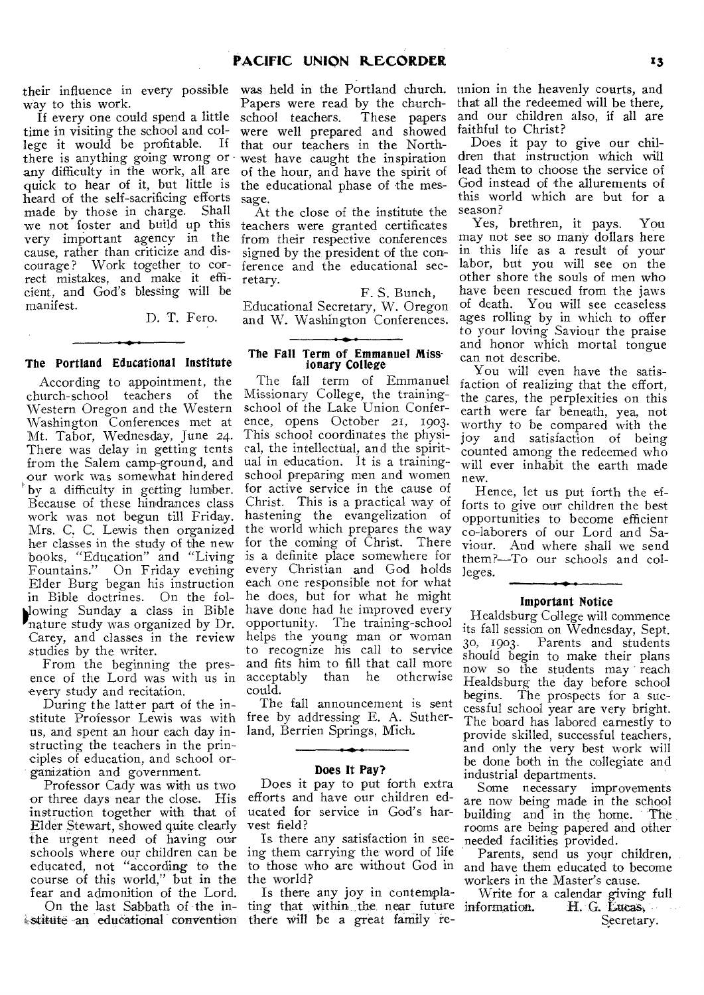way to this work.

If every one could spend a little time in visiting the school and college it would be profitable. If there is anything going wrong or any difficulty in the work, all are quick to hear of it, but little is heard of the self-sacrificing efforts made by those in charge. Shall we not foster and build up this very important agency in the cause, rather than criticize and discourage? Work together to correct mistakes, and make it efficient, and God's blessing will be manifest.

D. T. Fero.

#### **The Portland Educational Institute**

According to appointment, the church-school teachers of the Western Oregon and the Western Washington Conferences met at Mt. Tabor, Wednesday, June 24. There was delay in getting tents from the Salem camp-ground, and our work was somewhat hindered by a difficulty in getting lumber. Because of these hindrances class work was not begun till Friday. Mrs. C. C. Lewis then organized her classes in the study of the new books, "Education" and "Living Fountains." On Friday evening Elder Burg began his instruction in Bible doctrines. On the folblowing Sunday a class in Bible nature study was organized by Dr. Carey, and classes in the review studies by the writer.

From the beginning the presence of the Lord was with us in every study and recitation.

During the latter part of the institute Professor Lewis was with us, and spent an hour each day in-land, Berrien Springs, Mich. structing the teachers in the principles of education, and school organization and government.

Professor Cady was with us two or three days near the close. His instruction together with that of Elder Stewart, showed quite clearly the urgent need of having our schools where our children can be ing them carrying the word of life educated, not "according to the course of this world," but in the fear and admonition of the Lord.

On the last Sabbath of the institute an educational convention there will be a great family re-

their influence in every possible was held in the Portland church. Papers were read by the church-<br>school teachers. These papers school teachers. were well prepared and showed that our teachers in the Northwest have caught the inspiration of the hour, and have the spirit of the educational phase of the message.

> At the close of the institute the teachers were granted certificates from their respective conferences signed by the president of the conference and the educational secretary.

> > F. S. Bunch,

Educational Secretary, W. Oregon and W. Washington Conferences.

#### **The Fall Term of Emmanuel Missionary** College

The fall term of Emmanuel Missionary College, the trainingschool of the Lake Union Conference, opens October 21, 1903. This school coordinates the physical, the intellectual, and the spiritual in education. It is a trainingschool preparing men and women for active service in the cause of Christ. This is a practical way of hastening the evangelization of the world which prepares the way for the coming of Christ. There is a definite place somewhere for every Christian and God holds each one responsible not for what he does, but for what he might have done had he improved every opportunity. The training-school helps the young man or woman to recognize his call to service and fits him to fill that call more<br>acceptably than he otherwise acceptably than he otherwise could.

The fall announcement is sent free by addressing E. A. Suther-

#### **Does It Pay?**

Does it pay to put forth extra efforts and have our children educated for service in God's harvest field?

Is there any satisfaction in seethe world?

Is there any joy in contemplating that within the near future information.

union in the heavenly courts, and that all the redeemed will be there, and our children also, if all are faithful to Christ?

Does it pay to give our children that instruction which will lead them to choose the service of God instead of the allurements of this world which are but for a season?

Yes, brethren, it pays. You may not see so many dollars here in this life as a result of your labor, but you will see on the other shore the souls of men who have been rescued from the jaws of death. You will see ceaseless ages rolling by in which to offer to your loving Saviour the praise and honor which mortal tongue can not describe.

You will even have the satisfaction of realizing that the effort, the cares, the perplexities on this earth were far beneath, yea, not worthy to be compared with the joy and satisfaction of being counted among the redeemed who will ever inhabit the earth made new.

Hence, let us put forth the efforts to give our children the best opportunities to become efficient co-laborers of our Lord and Saviour. And where shall we send them?—To our schools and colleges.

#### **Important Notice**

Healdsburg College will commence its fall session on Wednesday, Sept. 3o, 1903. Parents and students should begin to make their plans now so the students may reach Healdsburg the day before school begins. The prospects for a successful school year are very bright. The board has labored earnestly to provide skilled, successful teachers, and only the very best work will be done both in the collegiate and industrial departments.

Some necessary improvements are now being made in the school building and in the home. The rooms are being papered and other needed facilities provided.

to those who are without God in and have them educated to become Parents, send us your children, workers in the Master's cause.

> Write for a calendar giving full H. G. Lucas, Secretary.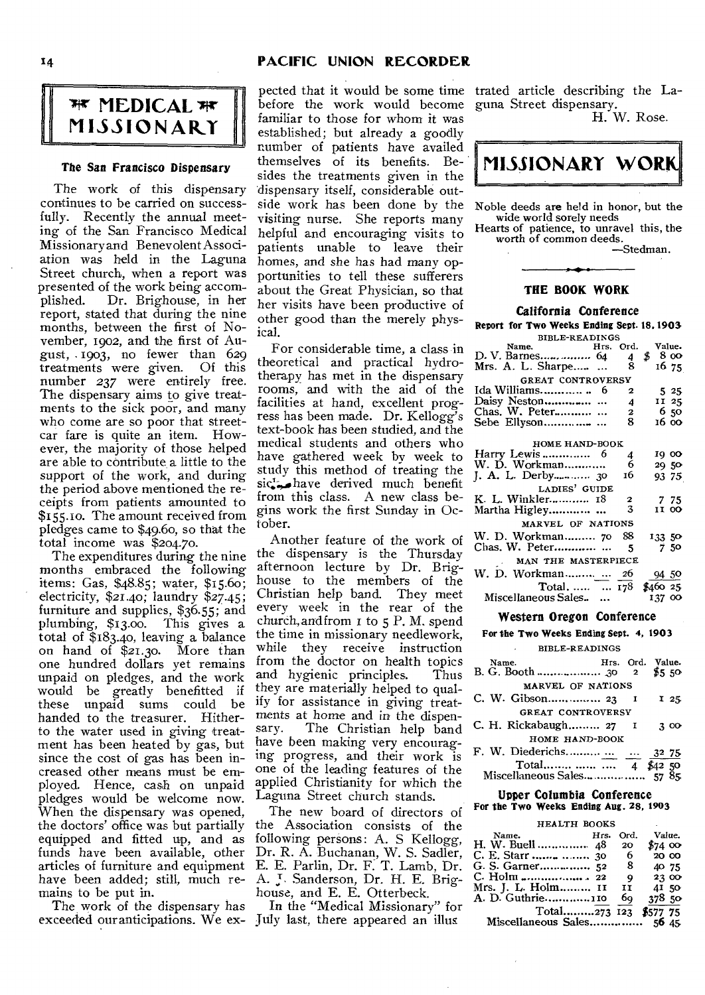### **<sup>1</sup>4 PACIFIC UNION RECORDER**

# **MEDICAL Tir MISSIONARY**

### *The* **San Francisco Dispensary**

The work of this dispensary continues to be carried on successfully. Recently the annual meeting of the San Francisco Medical Missionary and Benevolent Association was held in the Laguna Street church, when a report was presented of the work being accomplished. Dr. Brighouse, in her report, stated that during the nine months, between the first of November, 1902, and the first of August, 1903, no fewer than 629 treatments were given. Of this number *237* were entirely free. The dispensary aims to give treatments to the sick poor, and many who come are so poor that streetcar fare is quite an item. However, the majority of those helped are able to contribute a little to the support of the work, and during the period above mentioned the receipts from patients amounted to \$155.10. The amount received from pledges came to \$49.60, so that the total income was \$204.70.

The expenditures during the nine months embraced the following items: Gas, \$48.85; water, \$15.60; electricity, \$21.40; laundry \$27.45; furniture and supplies, \$36.55; and plumbing, \$13.00. This gives a total of \$183.40, leaving a balance on hand of \$21.30. More than one hundred dollars yet remains unpaid on pledges, and the work would be greatly benefitted if<br>these unpaid sums could be unpaid sums could be<br>I to the treasurer. Hitherhanded to the treasurer. to the water used in giving treatment has been heated by gas, but since the cost of gas has been increased other means must be employed. Hence, cash on unpaid pledges would be welcome now. When the dispensary was opened, the doctors' office was but partially equipped and fitted up, and as funds have been available, other articles of furniture and equipment have been added; still, much remains to be put in.

The work of the dispensary has exceeded our anticipations. We ex-July last, there appeared an illus

pected that it would be some time before the work would become familiar to those for whom it was established; but already a goodly number of patients have availed themselves of its benefits. Besides the treatments given in the dispensary itself, considerable outvisiting nurse. She reports many helpful and encouraging visits to patients unable to leave their homes, and she has had many opportunities to tell these sufferers about the Great Physician, so that her visits have been productive of other good than the merely physical.

For considerable time, a class in theoretical and practical hydrotherapy has met in the dispensary rooms, and with the aid of the facilities at hand, excellent progress has been made. Dr. Kellogg's text-book has been studied, and the medical students and others who have gathered week by week to study this method of treating the  $\operatorname{sic}_{\bullet\bullet\bullet}^1$  have derived much benefit from this class. A new class begins work the first Sunday in October.

Another feature of the work of the dispensary is the Thursday afternoon lecture by Dr. Brighouse to the members of the Christian help band. They meet every week in the rear of the church, and from  $I$  to  $5$  P. M. spend the time in missionary needlework, while they receive instruction from the doctor on health topics<br>and hygienic principles. Thus and hygienic principles. they are materially helped to qualify for assistance in giving treatments at home and in the dispen-<br>sary. The Christian help band The Christian help band have been making very encouraging progress, and their work is one of the leading features of the applied Christianity for which the Laguna Street church stands.

The new board of directors of the Association consists of the following persons: A. S Kellogg, Dr. R. A. Buchanan, W. S. Sadler, E. E. Partin, Dr. F. T. Lamb, Dr. A. J. Sanderson, Dr. H. E. Brighouse, and E. E. Otterbeck.

In the "Medical Missionary" for

trated article describing the Laguna Street dispensary.

H. W. Rose.



### **THE BOOK WORK**

**California Conference** 

**Report for Two Weeks Ending Sept.18, 1903.** 

| <b>BIBLE-READINGS</b>                |  |               |              |  |  |  |
|--------------------------------------|--|---------------|--------------|--|--|--|
|                                      |  |               | Value.       |  |  |  |
| Name. Hrs. Ord.<br>D. V. Barnes 64 4 |  |               | \$<br>8 0 0  |  |  |  |
| Mrs. A. L. Sharpe                    |  | 8             | 16 75        |  |  |  |
| GREAT CONTROVERSY                    |  |               |              |  |  |  |
| Ida Williams 6                       |  | $\mathbf{2}$  | 525          |  |  |  |
|                                      |  | 4             | II 25        |  |  |  |
| Chas. W. Peter                       |  | $\mathbf{2}$  | 650          |  |  |  |
|                                      |  | 8.            | 16 00        |  |  |  |
|                                      |  |               |              |  |  |  |
| HOME HAND-BOOK                       |  |               |              |  |  |  |
|                                      |  | 4             | 19 00        |  |  |  |
| W. D. Workman                        |  | 6             | 29 50        |  |  |  |
|                                      |  | 16            | 93 75        |  |  |  |
| LADIES' GUIDE                        |  |               |              |  |  |  |
| K. L. Winkler 18                     |  |               | 775          |  |  |  |
| Martha Higley                        |  | $\frac{2}{3}$ | <b>II 00</b> |  |  |  |
| MARVEL OF NATIONS                    |  |               |              |  |  |  |
| W. D. Workman 70                     |  | 88            | 133 50       |  |  |  |
| Chas. W. Peter                       |  | -5            | 750          |  |  |  |
| MAN THE MASTERPIECE                  |  |               |              |  |  |  |
|                                      |  | 26            | 94 50        |  |  |  |
| Total,   178                         |  |               | \$460 25     |  |  |  |
| Miscellaneous Sales                  |  |               | 137 00       |  |  |  |
|                                      |  |               |              |  |  |  |

#### **Western Oregon Conference**

#### **For the Two Weeks Ending** Sept. **4, 1903**

| <b>BIBLE-READINGS</b>     |  |  |                            |  |
|---------------------------|--|--|----------------------------|--|
| Name.                     |  |  | Hrs. Ord. Value.<br>\$5,50 |  |
|                           |  |  |                            |  |
| MARVEL OF NATIONS         |  |  |                            |  |
| C. W. Gibson 23 1         |  |  | 125                        |  |
| <b>GREAT CONTROVERSY</b>  |  |  |                            |  |
| C. H. Rickabaugh 27 I     |  |  | 300                        |  |
| HOME HAND-BOOK            |  |  |                            |  |
| F. W. Diederichs   32 75  |  |  |                            |  |
| Total   4 \$42.50         |  |  |                            |  |
|                           |  |  |                            |  |
| Upper Columbia Conference |  |  |                            |  |

# **Upper Columbia Conference For the Two Weeks Ending Aug. 28, 1903**

#### HEALTH BOOKS Name. *Hrs.* Ord. Value. H. W. Buell C. E. Starr G. S. Garner C. Holm Mrs. J. L. Holm A. D. Guthrie Total.........273 123 \$577 75  $\begin{array}{r} 20 \quad \frac{4}{3} \, 74 \quad 00 \\ 6 \quad 20 \quad 00 \end{array}$  $\begin{array}{cc} 6 & 20 & 00 \\ 8 & 40 & 75 \end{array}$  $\begin{array}{@{}c@{\hspace{1em}}c@{\hspace{1em}}c@{}} 8 & 40 & 75 \\ 9 & 23 & 00 \end{array}$  $9$  23 00<br>II  $41,50$ II 41 50<br>69 378 50 378 50

Miscellaneous Sales................ 56 45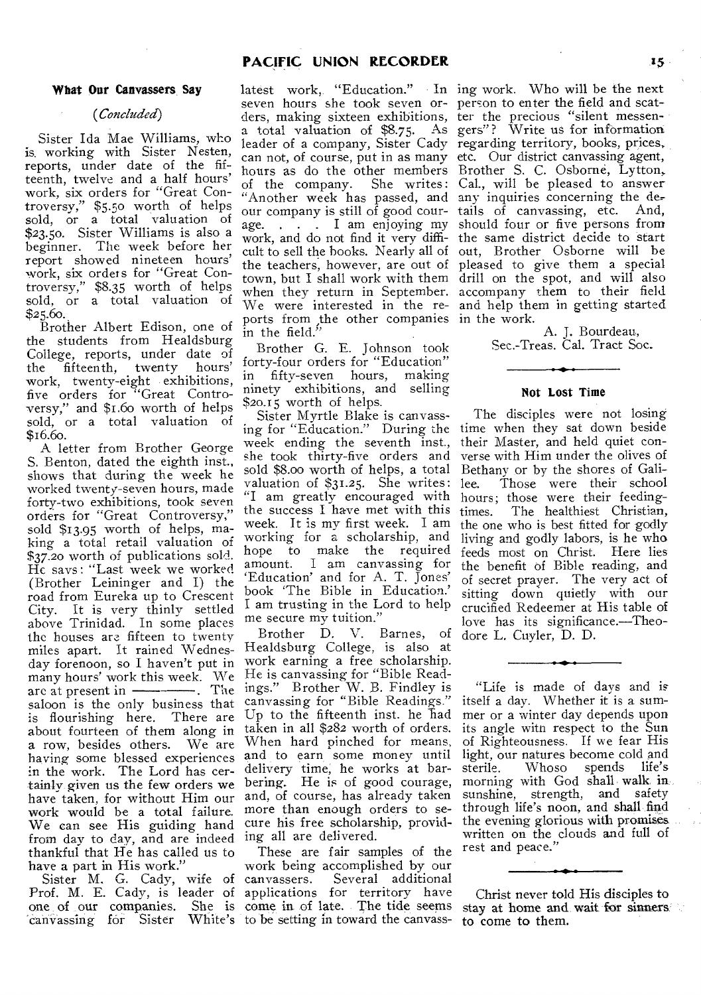#### **What Our Canvassers Say**

### *(Concluded)*

Sister Ida Mae Williams, who is. working with Sister Nesten, reports, under date of the fifteenth, twelve and a half hours' work, six orders for "Great Controversy," \$5.50 worth of helps sold, or a total valuation of \$23.50. Sister Williams is also a beginner. The week before her report showed nineteen hours' work, six orders for "Great Controversy," \$8.35 worth of helps sold, or a total valuation of \$25.60.

Brother Albert Edison, one of the students from Healdsburg College, reports, under date of the fifteenth, twenty hours' work, twenty-eight exhibitions, five orders for "Great Controversy," and \$1.6o worth of helps sold, or a total valuation of \$16.6o.

A letter from Brother George S. Benton, dated the eighth inst., shows that during the week he worked twenty-seven hours, made forty-two exhibitions, took seven orders for "Great Controversy," sold \$13.95 worth of helps, making a total retail valuation of \$37.20 worth of publications sold. He says: "Last week we worked (Brother Leininger and I) the road from Eureka up to Crescent City. It is very thinly settled above Trinidad. In some places the houses are fifteen to twenty miles apart. It rained Wednesday forenoon, so I haven't put in many hours' work this week. We arc at present in . The saloon is the only business that is flourishing here. There are about fourteen of them along in a row, besides others. We are having some blessed experiences in the work. The Lord has certainly given us the few orders we have taken, for without Him our work would be a total failure. We can see His guiding hand from day to day, and are indeed thankful that He has called us to have a part in His work."

Sister M. G. Cady, wife of Prof. M. E. Cady, is leader of one of our companies. She is `canvassing for Sister White's

seven hours she took seven or- person to enter the field and scatders, making sixteen exhibitions, a total valuation of \$8.75. As leader of a company, Sister Cady "Another week has passed, and any inquiries concerning the decult to sell the hooks. Nearly all of the teachers, however, are out of town, but I shall work with them when they return in September. We were interested in the reports from ,the other companies  $\mathop{\text{in}}$  the field."

Brother G. E. Johnson took forty-four orders for "Education" in fifty-seven hours, making ninety exhibitions, and selling \$20.15 worth of helps.

Sister Myrtle Blake is canvassing for "Education." During the time when they sat down beside week ending the seventh inst., she took thirty-five orders and sold \$8.00 worth of helps, a total valuation of \$31.25. She writes: "I am greatly encouraged with the success I have met with this week. It is my first week. I am working for a scholarship, and hope to make the required amount. I am canvassing for `Education' and for A. T. Jones' book 'The Bible in Education.' I am trusting in the Lord to help me secure my tuition."

Brother D. V. Barnes, of Healdsburg College, is also at work earning a free scholarship. He is canvassing for "Bible Readings." Brother W. B. Findley is canvassing for "Bible Readings." Up to the fifteenth inst. he  $\bar{h}$ ad taken in all \$282 worth of orders. When hard pinched for means, and to earn some money until delivery time, he works at barbering. He is of good courage, and, of course, has already taken more than enough orders to secure his free scholarship, providing all are delivered.

These are fair samples of the work being accomplished by our canvassers. Several additional applications for territory have come in of late. The tide seems to be setting in toward the canvass-

latest work, "Education." In ing work. Who will be the next can not, of course, put in as many etc. Our district canvassing agent, hours as do the other members Brother S. C. Osborne, Lytton, of the company. She writes: Cal., will be pleased to answer our company is still of good cour-tails of canvassing, etc. And, age. . . . I am enjoying my should four or five persons from work, and do not find it very diffi-the same district decide to start ter the precious "silent messengers"? Write us for information regarding territory, books, prices, out, Brother Osborne will be pleased to give them a special drill on the spot, and will also accompany them to their field and help them in getting started in the work.

A. J. Bourdeau, Sec.-Treas. Cal. Tract Soc.

### **Not Lost Time**

The disciples were not losing their Master, and held quiet converse with Him under the olives of Bethany or by the shores of Galilee. Those were their school hours; those were their feedingtimes. The healthiest Christian, the one who is best fitted for godly living and godly labors, is he who feeds most on Christ. Here lies the benefit of Bible reading, and of secret prayer. The very act of sitting down quietly with our crucified Redeemer at His table of love has its significance.—Theodore L. Cuyler, D. D.

"Life is made of days and is itself a day. Whether it is a summer or a winter day depends upon its angle with respect to the Sun of Righteousness. If we fear His light, our natures become cold and sterile. Whoso spends life's morning with God shall walk in sunshine, strength, and safety through life's noon, and shall find the evening glorious with promises written on the clouds and full of rest and peace."

Christ never told His disciples to stay at home and wait for sinners: to come to them.